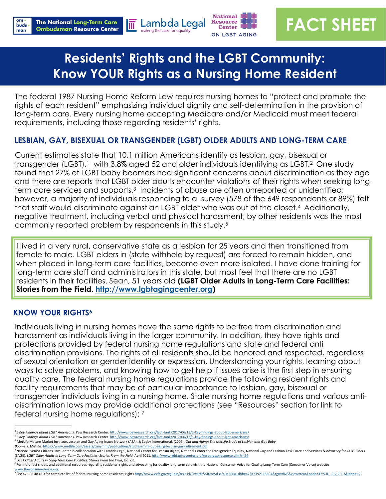

 $\overline{\mathbb{m}}$ 



# **FACT SHEET**

# **Residents' Rights and the LGBT Community: Know YOUR Rights as a Nursing Home Resident**

The federal 1987 Nursing Home Reform Law requires nursing homes to "protect and promote the rights of each resident" emphasizing individual dignity and self-determination in the provision of long-term care. Every nursing home accepting Medicare and/or Medicaid must meet federal requirements, including those regarding residents' rights.

# **LESBIAN, GAY, BISEXUAL OR TRANSGENDER (LGBT) OLDER ADULTS AND LONG-TERM CARE**

Current estimates state that 10.1 million Americans identify as lesbian, gay, bisexual or transgender (LGBT),<sup>1</sup> with 3.8% aged 52 and older individuals identifying as LGBT.<sup>2</sup> One study found that 27% of LGBT baby boomers had significant concerns about discrimination as they age and there are reports that LGBT older adults encounter violations of their rights when seeking longterm care services and supports.<sup>3</sup> Incidents of abuse are often unreported or unidentified; however, a majority of individuals responding to a survey (578 of the 649 respondents or 89%) felt that staff would discriminate against an LGBT elder who was out of the closet.4 Additionally, negative treatment, including verbal and physical harassment, by other residents was the most commonly reported problem by respondents in this study.<sup>5</sup>

I lived in a very rural, conservative state as a lesbian for 25 years and then transitioned from female to male. LGBT elders in (state withheld by request) are forced to remain hidden, and when placed in long-term care facilities, become even more isolated. I have done training for long-term care staff and administrators in this state, but most feel that there are no LGBT residents in their facilities. Sean, 51 years old **(LGBT Older Adults in Long-Term Care Facilities: Stories from the Field. [http://www.lgbtagingcenter.org\)](http://www.lgbtagingcenter.org)** 

## **KNOW YOUR RIGHTS<sup>6</sup>**

——————————

Individuals living in nursing homes have the same rights to be free from discrimination and harassment as individuals living in the larger community. In addition, they have rights and protections provided by federal nursing home regulations and state and federal anti discrimination provisions. The rights of all residents should be honored and respected, regardless of sexual orientation or gender identity or expression. Understanding your rights, learning about ways to solve problems, and knowing how to get help if issues arise is the first step in ensuring quality care. The federal nursing home regulations provide the following resident rights and facility requirements that may be of particular importance to lesbian, gay, bisexual or transgender individuals living in a nursing home. State nursing home regulations and various antidiscrimination laws may provide additional protections (see "Resources" section for link to federal nursing home regulations): 7

*<sup>1</sup>5 Key Findings about LGBT Americans.* Pew Research Center. [http://www.pewresearch.org/fact](http://www.pewresearch.org/fact-tank/2017/06/13/5-key-findings-about-lgbt-americans/)-tank/2017/06/13/5-key-findings-about-lgbt-americans/

*<sup>2</sup>5 Key Findings about LGBT Americans.* Pew Research Center. [http://www.pewresearch.org/fact](http://www.pewresearch.org/fact-tank/2017/06/13/5-key-findings-about-lgbt-americans/)-tank/2017/06/13/5-key-findings-about-lgbt-americans/ <sup>3</sup> MetLife Mature Market Institute, Lesbian and Gay Aging Issues Network (ASA), & Zogby International. (2006). *Out and Aging: The MetLife Study of Lesbian and Gay Baby* 

*Boomers.* Metlife. [https://www.metlife.com/assets/cao/mmi/publications/studies/mmi](https://www.metlife.com/assets/cao/mmi/publications/studies/mmi-out-aging-lesbian-gay-retirement.pdf)-out-aging-lesbian-gay-retirement.pdf

<sup>&</sup>lt;sup>4</sup> National Senior Citizens Law Center in collaboration with Lambda Legal, National Center for Lesbian Rights, National Center for Transgender Equality, National Gay and Lesbian Task Force and Services & Advocacy for GLBT (SAGE). *LGBT Older Adults in Long-Term Care Facilities: Stories From the Field.* April 2011.<http://www.lgbtagingcenter.org/resources/resource.cfm?r=54> *<sup>5</sup>LGBT Older Adults in Long-Term Care Facilities: Stories From the Field*, loc. cit.

<sup>&</sup>lt;sup>6</sup>For more fact sheets and additional resources regarding residents' rights and advocating for quality long-term care visit the National Consumer Voice for Quality Long-Term Care (Consumer Voice) website

[www.theconsumervoice.org.](http://www.theconsumervoice.org) <sup>7</sup>See 42 CFR 483.10 for complete list of federal nursing home residents' rights http://www.ecfr.gov/cgi-bin/text-[idx?c=ecfr&SID=e5d3af40a300a1dbbea73a7392115694&rgn=div8&view=text&node=42:5.0.1.1.2.2.7.3&idno=42.](http://www.ecfr.gov/cgi-bin/text-idx?c=ecfr&SID=e5d3af40a300a1dbbea73a7392115694&rgn=div8&view=text&node=42:5.0.1.1.2.2.7.3&idno=42)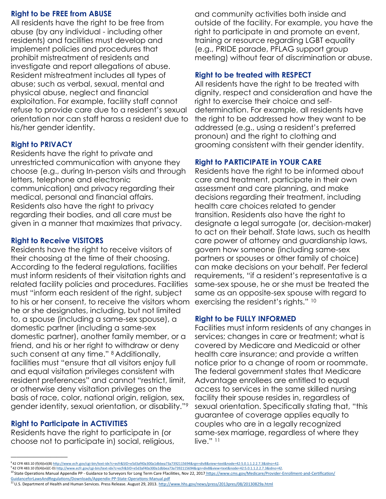#### **Right to be FREE from ABUSE**

All residents have the right to be free from abuse (by any individual - including other residents) and facilities must develop and implement policies and procedures that prohibit mistreatment of residents and investigate and report allegations of abuse. Resident mistreatment includes all types of abuse; such as verbal, sexual, mental and physical abuse, neglect and financial exploitation. For example, facility staff cannot refuse to provide care due to a resident's sexual orientation nor can staff harass a resident due to his/her gender identity.

#### **Right to PRIVACY**

Residents have the right to private and unrestricted communication with anyone they choose (e.g., during In-person visits and through letters, telephone and electronic communication) and privacy regarding their medical, personal and financial affairs. Residents also have the right to privacy regarding their bodies, and all care must be given in a manner that maximizes that privacy.

#### **Right to Receive VISITORS**

Residents have the right to receive visitors of their choosing at the time of their choosing. According to the federal regulations, facilities must inform residents of their visitation rights and related facility policies and procedures. Facilities must "inform each resident of the right, subject to his or her consent, to receive the visitors whom he or she designates, including, but not limited to, a spouse (including a same-sex spouse), a domestic partner (including a same-sex domestic partner), another family member, or a friend, and his or her right to withdraw or deny such consent at any time." <sup>8</sup> Additionally, facilities must "ensure that all visitors enjoy full and equal visitation privileges consistent with resident preferences" and cannot "restrict, limit, or otherwise deny visitation privileges on the basis of race, color, national origin, religion, sex, gender identity, sexual orientation, or disability."<sup>9</sup>

#### **Right to Participate in ACTIVITIES**

——————————

Residents have the right to participate in (or choose not to participate in) social, religious, and community activities both inside and outside of the facility. For example, you have the right to participate in and promote an event, training or resource regarding LGBT equality (e.g., PRIDE parade, PFLAG support group meeting) without fear of discrimination or abuse.

#### **Right to be treated with RESPECT**

All residents have the right to be treated with dignity, respect and consideration and have the right to exercise their choice and selfdetermination. For example, all residents have the right to be addressed how they want to be addressed (e.g., using a resident's preferred pronoun) and the right to clothing and grooming consistent with their gender identity.

#### **Right to PARTICIPATE in YOUR CARE**

Residents have the right to be informed about care and treatment, participate in their own assessment and care planning, and make decisions regarding their treatment, including health care choices related to gender transition. Residents also have the right to designate a legal surrogate (or, decision-maker) to act on their behalf. State laws, such as health care power of attorney and guardianship laws, govern how someone (including same-sex partners or spouses or other family of choice) can make decisions on your behalf. Per federal requirements, "if a resident's representative is a same-sex spouse, he or she must be treated the same as an opposite-sex spouse with regard to exercising the resident's rights." <sup>10</sup>

#### **Right to be FULLY INFORMED**

Facilities must inform residents of any changes in services; changes in care or treatment; what is covered by Medicare and Medicaid or other health care insurance; and provide a written notice prior to a change of room or roommate. The federal government states that Medicare Advantage enrollees are entitled to equal access to services in the same skilled nursing facility their spouse resides in, regardless of sexual orientation. Specifically stating that, "this guarantee of coverage applies equally to couples who are in a legally recognized same-sex marriage, regardless of where they live." 11

<sup>9</sup>42 CFR 483.10 (f)(4)(vi)(C-D) http://www.ecfr.gov/cgi-bin/text-[idx?c=ecfr&SID=e5d3af40a300a1dbbea73a7392115694&rgn=div8&view=text&node=42:5.0.1.1.2.2.7.3&idno=42.](http://www.ecfr.gov/cgi-bin/text-idx?c=ecfr&SID=e5d3af40a300a1dbbea73a7392115694&rgn=div8&view=text&node=42:5.0.1.1.2.2.7.3&idno=42) 

 $^8$ 42 CFR 483.10 (f)(4)(vi)(B) <u>http://www.ecfr.gov/cgi-bin/text-idx?c=ecfr&SID=e5d3af40a300a1dbbea73a7392115694&rgn=div8&v</u>

<sup>&</sup>lt;sup>10</sup>State Operations Manual Appendix PP - Guidance to Surveyors for Long Term Care Ffacilities, Nov 22, 2017 [https://www.cms.gov/Medicare/Provider](https://www.cms.gov/Medicare/Provider-Enrollment-and-Certification/GuidanceforLawsAndRegulations/Downloads/Appendix-PP-State-Operations-Manual.pdf)-Enrollment-and-Certification/

[GuidanceforLawsAndRegulations/Downloads/Appendix](https://www.cms.gov/Medicare/Provider-Enrollment-and-Certification/GuidanceforLawsAndRegulations/Downloads/Appendix-PP-State-Operations-Manual.pdf)-PP-State-Operations-Manual.pdf<br><sup>11</sup> U.S. Department of Health and Human Services. Press Release. August 29, 2013. <u><http://www.hhs.gov/news/press/2013pres/08/20130829a.html></u>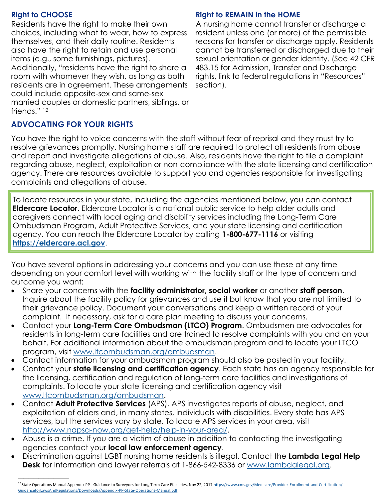#### **Right to CHOOSE**

——————————

Residents have the right to make their own choices, including what to wear, how to express themselves, and their daily routine. Residents also have the right to retain and use personal items (e.g., some furnishings, pictures). Additionally, "residents have the right to share a room with whomever they wish, as long as both residents are in agreement. These arrangements could include opposite-sex and same-sex married couples or domestic partners, siblings, or friends." <sup>12</sup>

## **Right to REMAIN in the HOME**

A nursing home cannot transfer or discharge a resident unless one (or more) of the permissible reasons for transfer or discharge apply. Residents cannot be transferred or discharged due to their sexual orientation or gender identity. (See 42 CFR 483.15 for Admission, Transfer and Discharge rights, link to federal regulations in "Resources" section).

# **ADVOCATING FOR YOUR RIGHTS**

You have the right to voice concerns with the staff without fear of reprisal and they must try to resolve grievances promptly. Nursing home staff are required to protect all residents from abuse and report and investigate allegations of abuse. Also, residents have the right to file a complaint regarding abuse, neglect, exploitation or non-compliance with the state licensing and certification agency. There are resources available to support you and agencies responsible for investigating complaints and allegations of abuse.

To locate resources in your state, including the agencies mentioned below, you can contact **Eldercare Locator**. Eldercare Locator is a national public service to help older adults and caregivers connect with local aging and disability services including the Long-Term Care Ombudsman Program, Adult Protective Services, and your state licensing and certification agency. You can reach the Eldercare Locator by calling **1-800-677-1116** or visiting **<https://eldercare.acl.gov>**.

You have several options in addressing your concerns and you can use these at any time depending on your comfort level with working with the facility staff or the type of concern and outcome you want:

- Share your concerns with the **facility administrator, social worker** or another **staff person**. Inquire about the facility policy for grievances and use it but know that you are not limited to their grievance policy. Document your conversations and keep a written record of your complaint. If necessary, ask for a care plan meeting to discuss your concerns.
- Contact your **Long-Term Care Ombudsman (LTCO) Program**. Ombudsmen are advocates for residents in long-term care facilities and are trained to resolve complaints with you and on your behalf. For additional information about the ombudsman program and to locate your LTCO program, visit [www.ltcombudsman.org/ombudsman.](http://theconsumervoice.org/get_help)
- Contact information for your ombudsman program should also be posted in your facility.
- Contact your **state licensing and certification agency**. Each state has an agency responsible for the licensing, certification and regulation of long-term care facilities and investigations of complaints. To locate your state licensing and certification agency visit [www.ltcombudsman.org/ombudsman.](http://theconsumervoice.org/get_help)
- Contact **Adult Protective Services** (APS). APS investigates reports of abuse, neglect, and exploitation of elders and, in many states, individuals with disabilities. Every state has APS services, but the services vary by state. To locate APS services in your area, visit [http://www.napsa-now.org/get-help/help-in-your-area/.](http://www.napsa-now.org/get-help/help-in-your-area/)
- Abuse is a crime. If you are a victim of abuse in addition to contacting the investigating agencies contact your **local law enforcement agency**.
- Discrimination against LGBT nursing home residents is illegal. Contact the **Lambda Legal Help Desk** for information and lawyer referrals at 1-866-542-8336 or [www.lambdalegal.org.](http://www.lambdalegal.org)